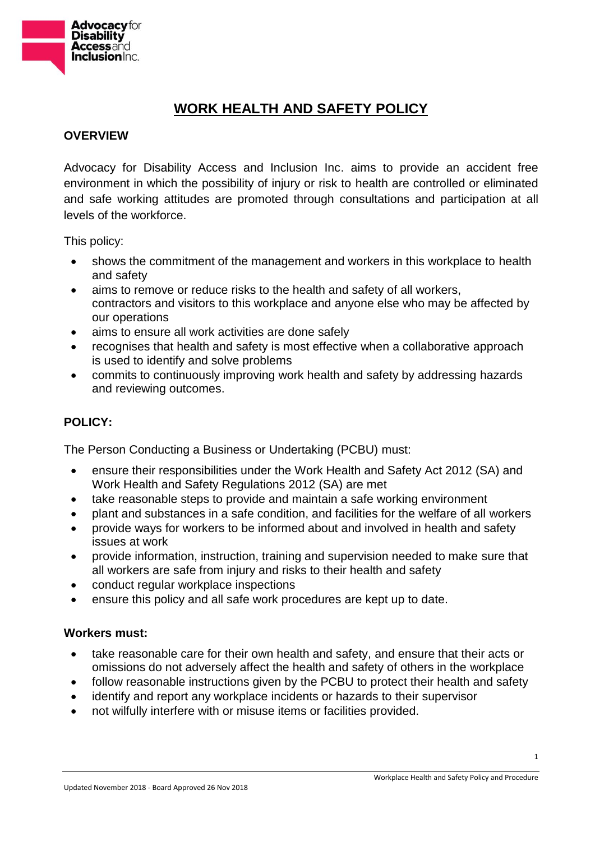

# **WORK HEALTH AND SAFETY POLICY**

## **OVERVIEW**

Advocacy for Disability Access and Inclusion Inc. aims to provide an accident free environment in which the possibility of injury or risk to health are controlled or eliminated and safe working attitudes are promoted through consultations and participation at all levels of the workforce.

This policy:

- shows the commitment of the management and workers in this workplace to health and safety
- aims to remove or reduce risks to the health and safety of all workers, contractors and visitors to this workplace and anyone else who may be affected by our operations
- aims to ensure all work activities are done safely
- recognises that health and safety is most effective when a collaborative approach is used to identify and solve problems
- commits to continuously improving work health and safety by addressing hazards and reviewing outcomes.

## **POLICY:**

The Person Conducting a Business or Undertaking (PCBU) must:

- ensure their responsibilities under the Work Health and Safety Act 2012 (SA) and Work Health and Safety Regulations 2012 (SA) are met
- take reasonable steps to provide and maintain a safe working environment
- plant and substances in a safe condition, and facilities for the welfare of all workers
- provide ways for workers to be informed about and involved in health and safety issues at work
- provide information, instruction, training and supervision needed to make sure that all workers are safe from injury and risks to their health and safety
- conduct regular workplace inspections
- ensure this policy and all safe work procedures are kept up to date.

#### **Workers must:**

- take reasonable care for their own health and safety, and ensure that their acts or omissions do not adversely affect the health and safety of others in the workplace
- follow reasonable instructions given by the PCBU to protect their health and safety
- identify and report any workplace incidents or hazards to their supervisor
- not wilfully interfere with or misuse items or facilities provided.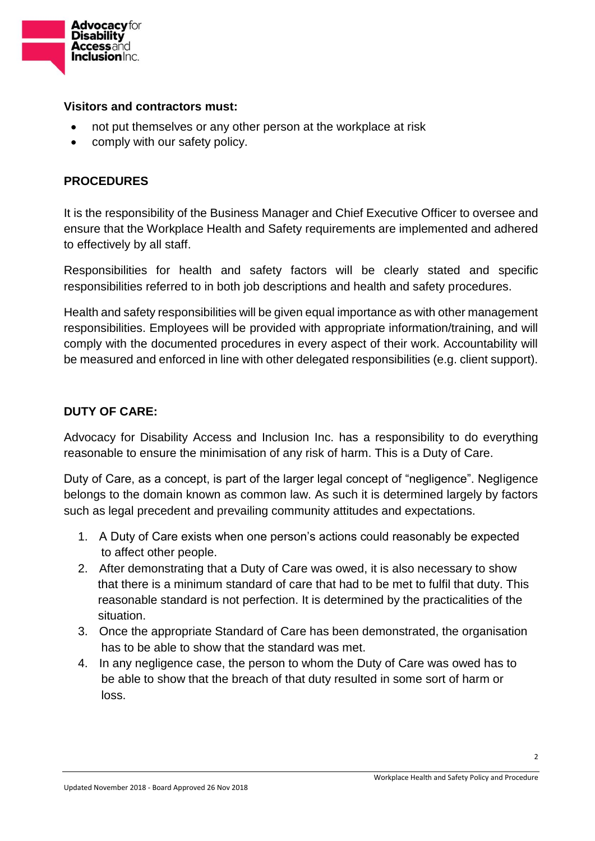

#### **Visitors and contractors must:**

- not put themselves or any other person at the workplace at risk
- comply with our safety policy.

## **PROCEDURES**

It is the responsibility of the Business Manager and Chief Executive Officer to oversee and ensure that the Workplace Health and Safety requirements are implemented and adhered to effectively by all staff.

Responsibilities for health and safety factors will be clearly stated and specific responsibilities referred to in both job descriptions and health and safety procedures.

Health and safety responsibilities will be given equal importance as with other management responsibilities. Employees will be provided with appropriate information/training, and will comply with the documented procedures in every aspect of their work. Accountability will be measured and enforced in line with other delegated responsibilities (e.g. client support).

## **DUTY OF CARE:**

Advocacy for Disability Access and Inclusion Inc. has a responsibility to do everything reasonable to ensure the minimisation of any risk of harm. This is a Duty of Care.

Duty of Care, as a concept, is part of the larger legal concept of "negligence". Negligence belongs to the domain known as common law. As such it is determined largely by factors such as legal precedent and prevailing community attitudes and expectations.

- 1. A Duty of Care exists when one person's actions could reasonably be expected to affect other people.
- 2. After demonstrating that a Duty of Care was owed, it is also necessary to show that there is a minimum standard of care that had to be met to fulfil that duty. This reasonable standard is not perfection. It is determined by the practicalities of the situation.
- 3. Once the appropriate Standard of Care has been demonstrated, the organisation has to be able to show that the standard was met.
- 4. In any negligence case, the person to whom the Duty of Care was owed has to be able to show that the breach of that duty resulted in some sort of harm or loss.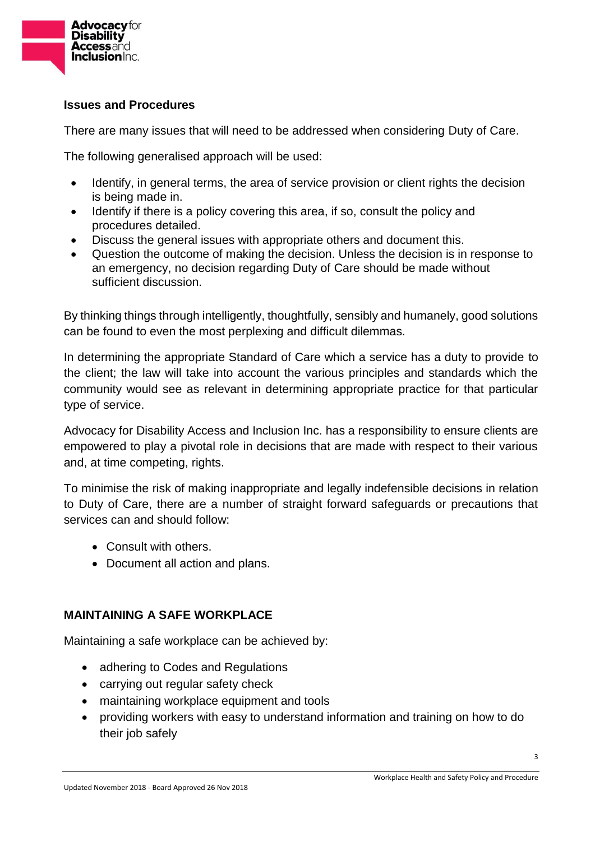

### **Issues and Procedures**

There are many issues that will need to be addressed when considering Duty of Care.

The following generalised approach will be used:

- Identify, in general terms, the area of service provision or client rights the decision is being made in.
- Identify if there is a policy covering this area, if so, consult the policy and procedures detailed.
- Discuss the general issues with appropriate others and document this.
- Question the outcome of making the decision. Unless the decision is in response to an emergency, no decision regarding Duty of Care should be made without sufficient discussion.

By thinking things through intelligently, thoughtfully, sensibly and humanely, good solutions can be found to even the most perplexing and difficult dilemmas.

In determining the appropriate Standard of Care which a service has a duty to provide to the client; the law will take into account the various principles and standards which the community would see as relevant in determining appropriate practice for that particular type of service.

Advocacy for Disability Access and Inclusion Inc. has a responsibility to ensure clients are empowered to play a pivotal role in decisions that are made with respect to their various and, at time competing, rights.

To minimise the risk of making inappropriate and legally indefensible decisions in relation to Duty of Care, there are a number of straight forward safeguards or precautions that services can and should follow:

- Consult with others.
- Document all action and plans.

## **MAINTAINING A SAFE WORKPLACE**

Maintaining a safe workplace can be achieved by:

- adhering to Codes and Regulations
- carrying out regular safety check
- maintaining workplace equipment and tools
- providing workers with easy to understand information and training on how to do their job safely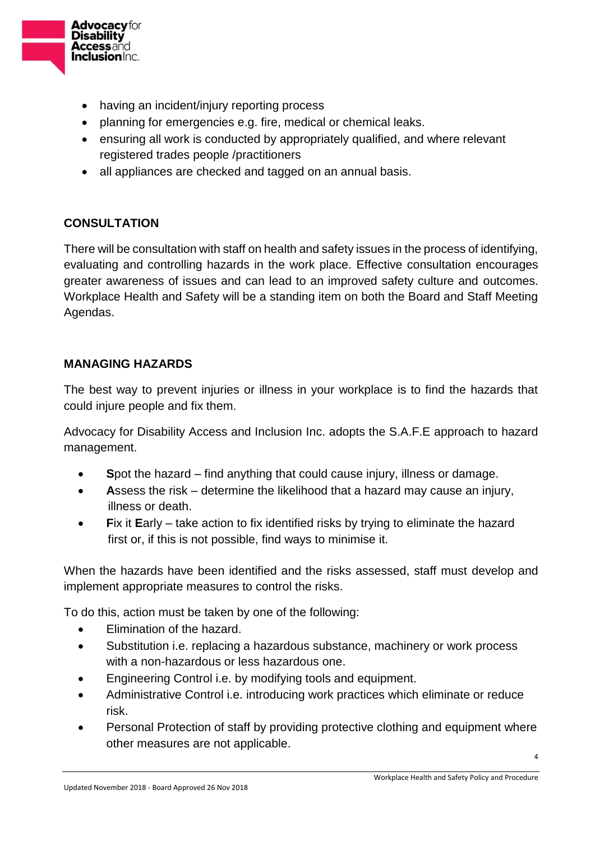

- having an incident/injury reporting process
- planning for emergencies e.g. fire, medical or chemical leaks.
- ensuring all work is conducted by appropriately qualified, and where relevant registered trades people /practitioners
- all appliances are checked and tagged on an annual basis.

## **CONSULTATION**

There will be consultation with staff on health and safety issues in the process of identifying, evaluating and controlling hazards in the work place. Effective consultation encourages greater awareness of issues and can lead to an improved safety culture and outcomes. Workplace Health and Safety will be a standing item on both the Board and Staff Meeting Agendas.

## **MANAGING HAZARDS**

The best way to prevent injuries or illness in your workplace is to find the hazards that could injure people and fix them.

Advocacy for Disability Access and Inclusion Inc. adopts the S.A.F.E approach to hazard management.

- **S**pot the hazard find anything that could cause injury, illness or damage.
- **A**ssess the risk determine the likelihood that a hazard may cause an injury, illness or death.
- **F**ix it **E**arly take action to fix identified risks by trying to eliminate the hazard first or, if this is not possible, find ways to minimise it.

When the hazards have been identified and the risks assessed, staff must develop and implement appropriate measures to control the risks.

To do this, action must be taken by one of the following:

- **Elimination of the hazard.**
- Substitution i.e. replacing a hazardous substance, machinery or work process with a non-hazardous or less hazardous one.
- Engineering Control i.e. by modifying tools and equipment.
- Administrative Control i.e. introducing work practices which eliminate or reduce risk.
- Personal Protection of staff by providing protective clothing and equipment where other measures are not applicable.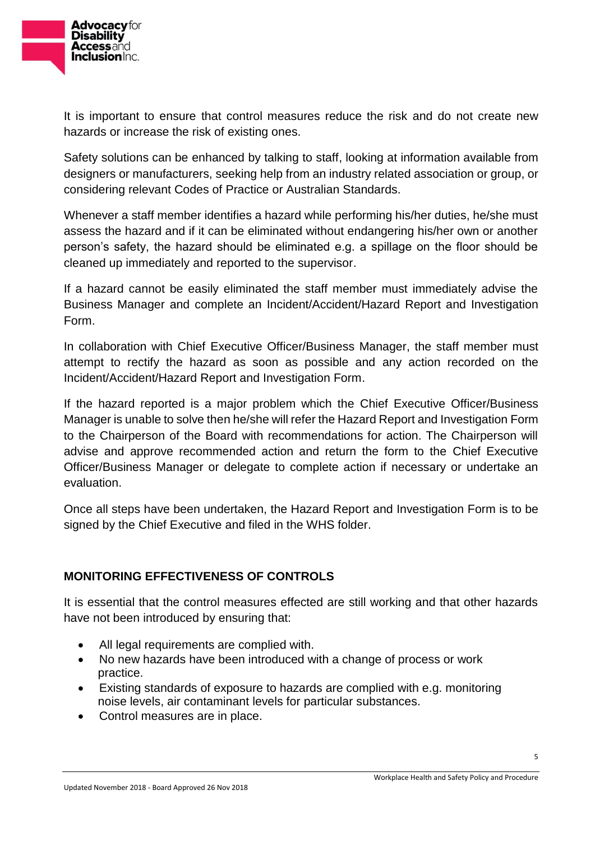

It is important to ensure that control measures reduce the risk and do not create new hazards or increase the risk of existing ones.

Safety solutions can be enhanced by talking to staff, looking at information available from designers or manufacturers, seeking help from an industry related association or group, or considering relevant Codes of Practice or Australian Standards.

Whenever a staff member identifies a hazard while performing his/her duties, he/she must assess the hazard and if it can be eliminated without endangering his/her own or another person's safety, the hazard should be eliminated e.g. a spillage on the floor should be cleaned up immediately and reported to the supervisor.

If a hazard cannot be easily eliminated the staff member must immediately advise the Business Manager and complete an Incident/Accident/Hazard Report and Investigation Form.

In collaboration with Chief Executive Officer/Business Manager, the staff member must attempt to rectify the hazard as soon as possible and any action recorded on the Incident/Accident/Hazard Report and Investigation Form.

If the hazard reported is a major problem which the Chief Executive Officer/Business Manager is unable to solve then he/she will refer the Hazard Report and Investigation Form to the Chairperson of the Board with recommendations for action. The Chairperson will advise and approve recommended action and return the form to the Chief Executive Officer/Business Manager or delegate to complete action if necessary or undertake an evaluation.

Once all steps have been undertaken, the Hazard Report and Investigation Form is to be signed by the Chief Executive and filed in the WHS folder.

## **MONITORING EFFECTIVENESS OF CONTROLS**

It is essential that the control measures effected are still working and that other hazards have not been introduced by ensuring that:

- All legal requirements are complied with.
- No new hazards have been introduced with a change of process or work practice.
- Existing standards of exposure to hazards are complied with e.g. monitoring noise levels, air contaminant levels for particular substances.
- Control measures are in place.